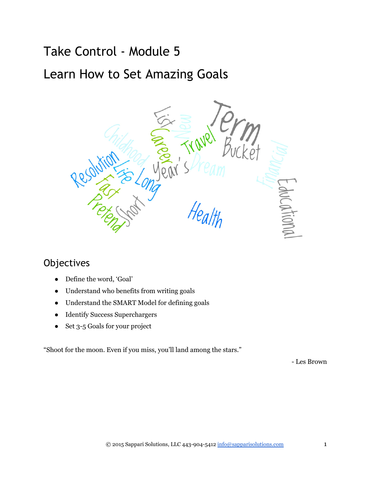# Take Control ‐ Module 5

# Learn How to Set Amazing Goals



# **Objectives**

- Define the word, 'Goal'
- Understand who benefits from writing goals
- Understand the SMART Model for defining goals
- Identify Success Superchargers
- Set 3-5 Goals for your project

"Shoot for the moon. Even if you miss, you'll land among the stars."

Les Brown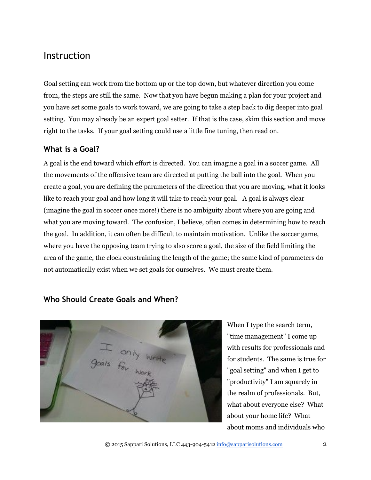# Instruction

Goal setting can work from the bottom up or the top down, but whatever direction you come from, the steps are still the same. Now that you have begun making a plan for your project and you have set some goals to work toward, we are going to take a step back to dig deeper into goal setting. You may already be an expert goal setter. If that is the case, skim this section and move right to the tasks. If your goal setting could use a little fine tuning, then read on.

# **What is a Goal?**

A goal is the end toward which effort is directed. You can imagine a goal in a soccer game. All the movements of the offensive team are directed at putting the ball into the goal. When you create a goal, you are defining the parameters of the direction that you are moving, what it looks like to reach your goal and how long it will take to reach your goal. A goal is always clear (imagine the goal in soccer once more!) there is no ambiguity about where you are going and what you are moving toward. The confusion, I believe, often comes in determining how to reach the goal. In addition, it can often be difficult to maintain motivation. Unlike the soccer game, where you have the opposing team trying to also score a goal, the size of the field limiting the area of the game, the clock constraining the length of the game; the same kind of parameters do not automatically exist when we set goals for ourselves. We must create them.

# **Who Should Create Goals and When?**



When I type the search term, "time management" I come up with results for professionals and for students. The same is true for "goal setting" and when I get to "productivity" I am squarely in the realm of professionals. But, what about everyone else? What about your home life? What about moms and individuals who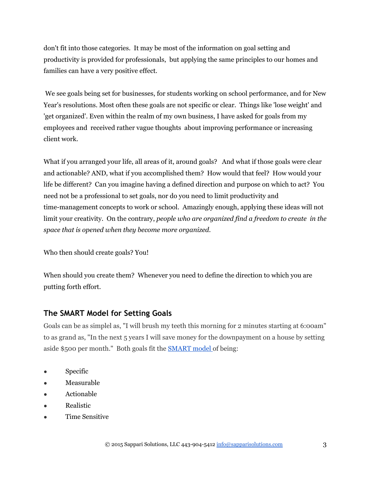don't fit into those categories. It may be most of the information on goal setting and productivity is provided for professionals, but applying the same principles to our homes and families can have a very positive effect.

 We see goals being set for businesses, for students working on school performance, and for New Year's resolutions. Most often these goals are not specific or clear. Things like 'lose weight' and 'get organized'. Even within the realm of my own business, I have asked for goals from my employees and received rather vague thoughts about improving performance or increasing client work.

What if you arranged your life, all areas of it, around goals? And what if those goals were clear and actionable? AND, what if you accomplished them? How would that feel? How would your life be different? Can you imagine having a defined direction and purpose on which to act? You need not be a professional to set goals, nor do you need to limit productivity and time-management concepts to work or school. Amazingly enough, applying these ideas will not limit your creativity. On the contrary, *people who are organized find a freedom to create in the space that is opened when they become more organized.*

Who then should create goals? You!

When should you create them? Whenever you need to define the direction to which you are putting forth effort.

# **The SMART Model for Setting Goals**

Goals can be as simplel as, "I will brush my teeth this morning for 2 minutes starting at 6:00am" to as grand as, "In the next 5 years I will save money for the downpayment on a house by setting aside \$500 per month." Both goals fit the [SMART model o](http://en.wikipedia.org/wiki/Goal_setting)f being:

- Specific
- Measurable
- Actionable
- Realistic
- Time Sensitive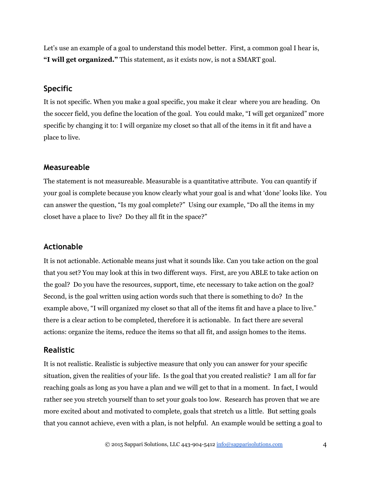Let's use an example of a goal to understand this model better. First, a common goal I hear is, **"I will get organized."** This statement, as it exists now, is not a SMART goal.

## **Specific**

It is not specific. When you make a goal specific, you make it clear where you are heading. On the soccer field, you define the location of the goal. You could make, "I will get organized" more specific by changing it to: I will organize my closet so that all of the items in it fit and have a place to live.

### **Measureable**

The statement is not measureable. Measurable is a quantitative attribute. You can quantify if your goal is complete because you know clearly what your goal is and what 'done' looks like. You can answer the question, "Is my goal complete?" Using our example, "Do all the items in my closet have a place to live? Do they all fit in the space?"

### **Actionable**

It is not actionable. Actionable means just what it sounds like. Can you take action on the goal that you set? You may look at this in two different ways. First, are you ABLE to take action on the goal? Do you have the resources, support, time, etc necessary to take action on the goal? Second, is the goal written using action words such that there is something to do? In the example above, "I will organized my closet so that all of the items fit and have a place to live." there is a clear action to be completed, therefore it is actionable. In fact there are several actions: organize the items, reduce the items so that all fit, and assign homes to the items.

# **Realistic**

It is not realistic. Realistic is subjective measure that only you can answer for your specific situation, given the realities of your life. Is the goal that you created realistic? I am all for far reaching goals as long as you have a plan and we will get to that in a moment. In fact, I would rather see you stretch yourself than to set your goals too low. Research has proven that we are more excited about and motivated to complete, goals that stretch us a little. But setting goals that you cannot achieve, even with a plan, is not helpful. An example would be setting a goal to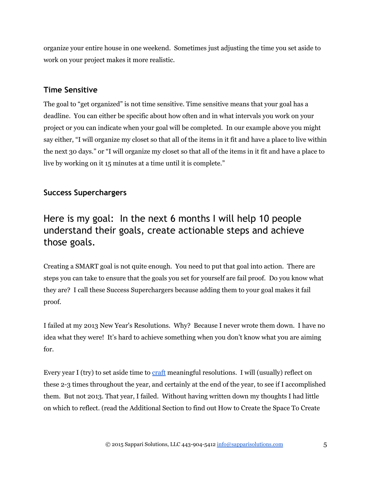organize your entire house in one weekend. Sometimes just adjusting the time you set aside to work on your project makes it more realistic.

# **Time Sensitive**

The goal to "get organized" is not time sensitive. Time sensitive means that your goal has a deadline. You can either be specific about how often and in what intervals you work on your project or you can indicate when your goal will be completed. In our example above you might say either, "I will organize my closet so that all of the items in it fit and have a place to live within the next 30 days." or "I will organize my closet so that all of the items in it fit and have a place to live by working on it 15 minutes at a time until it is complete."

# **Success Superchargers**

# Here is my goal: In the next 6 months I will help 10 people understand their goals, create actionable steps and achieve those goals.

Creating a SMART goal is not quite enough. You need to put that goal into action. There are steps you can take to ensure that the goals you set for yourself are fail proof. Do you know what they are? I call these Success Superchargers because adding them to your goal makes it fail proof.

I failed at my 2013 New Year's Resolutions. Why? Because I never wrote them down. I have no idea what they were! It's hard to achieve something when you don't know what you are aiming for.

Every year I (try) to set aside time to [craft](http://www.merriam-webster.com/dictionary/craft) meaningful resolutions. I will (usually) reflect on these 2-3 times throughout the year, and certainly at the end of the year, to see if I accomplished them. But not 2013. That year, I failed. Without having written down my thoughts I had little on which to reflect. (read the Additional Section to find out How to Create the Space To Create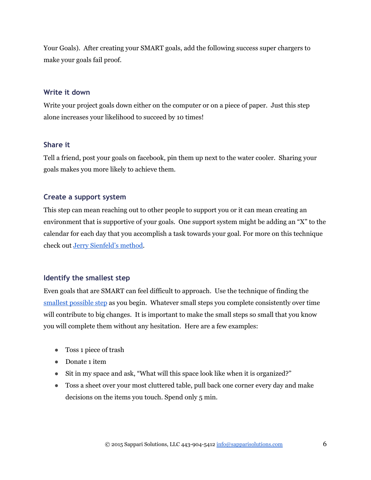Your Goals). After creating your SMART goals, add the following success super chargers to make your goals fail proof.

#### **Write it down**

Write your project goals down either on the computer or on a piece of paper. Just this step alone increases your likelihood to succeed by 10 times!

#### **Share it**

Tell a friend, post your goals on facebook, pin them up next to the water cooler. Sharing your goals makes you more likely to achieve them.

### **Create a support system**

This step can mean reaching out to other people to support you or it can mean creating an environment that is supportive of your goals. One support system might be adding an "X" to the calendar for each day that you accomplish a task towards your goal. For more on this technique check out [Jerry Sienfeld's method.](http://lifehacker.com/281626/jerry-seinfelds-productivity-secret)

#### **Identify the smallest step**

Even goals that are SMART can feel difficult to approach. Use the technique of finding the [smallest possible step](http://www.amazon.com/Small-Step-Change-Your-Life/dp/076118032X) as you begin. Whatever small steps you complete consistently over time will contribute to big changes. It is important to make the small steps so small that you know you will complete them without any hesitation. Here are a few examples:

- Toss 1 piece of trash
- Donate 1 item
- Sit in my space and ask, "What will this space look like when it is organized?"
- Toss a sheet over your most cluttered table, pull back one corner every day and make decisions on the items you touch. Spend only 5 min.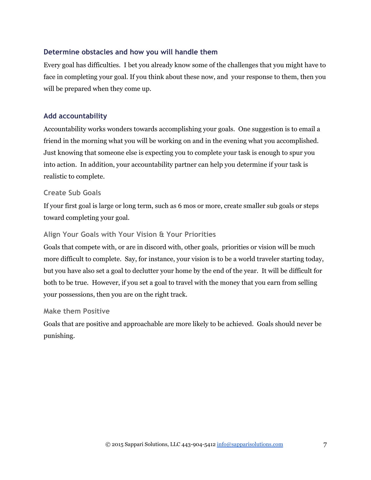# **Determine obstacles and how you will handle them**

Every goal has difficulties. I bet you already know some of the challenges that you might have to face in completing your goal. If you think about these now, and your response to them, then you will be prepared when they come up.

# **Add accountability**

Accountability works wonders towards accomplishing your goals. One suggestion is to email a friend in the morning what you will be working on and in the evening what you accomplished. Just knowing that someone else is expecting you to complete your task is enough to spur you into action. In addition, your accountability partner can help you determine if your task is realistic to complete.

## **Create Sub Goals**

If your first goal is large or long term, such as 6 mos or more, create smaller sub goals or steps toward completing your goal.

## **Align Your Goals with Your Vision & Your Priorities**

Goals that compete with, or are in discord with, other goals, priorities or vision will be much more difficult to complete. Say, for instance, your vision is to be a world traveler starting today, but you have also set a goal to declutter your home by the end of the year. It will be difficult for both to be true. However, if you set a goal to travel with the money that you earn from selling your possessions, then you are on the right track.

### **Make them Positive**

Goals that are positive and approachable are more likely to be achieved. Goals should never be punishing.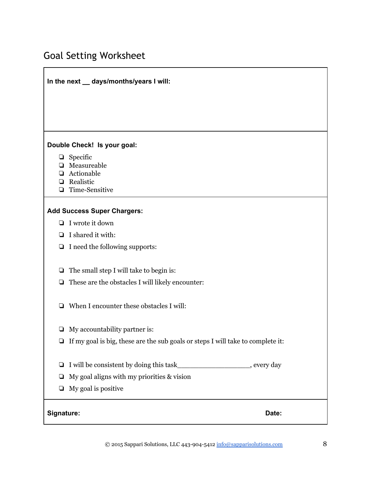# Goal Setting Worksheet

# **In the next \_\_ days/months/years I will:**

#### **Double Check! Is your goal:**

- ❏ Specific
- ❏ Measureable
- ❏ Actionable
- ❏ Realistic
- □ Time-Sensitive

#### **Add Success Super Chargers:**

- ❏ I wrote it down
- ❏ I shared it with:
- ❏ I need the following supports:
- ❏ The small step I will take to begin is:
- ❏ These are the obstacles I will likely encounter:
- ❏ When I encounter these obstacles I will:
- ❏ My accountability partner is:
- ❏ If my goal is big, these are the sub goals or steps I will take to complete it:
- ❏ I will be consistent by doing this task\_\_\_\_\_\_\_\_\_\_\_\_\_\_\_\_\_, every day
- $\Box$  My goal aligns with my priorities & vision
- ❏ My goal is positive

#### **Signature: Date:**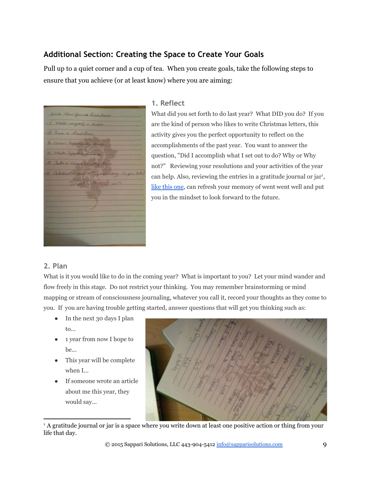# **Additional Section: Creating the Space to Create Your Goals**

Pull up to a quiet corner and a cup of tea. When you create goals, take the following steps to ensure that you achieve (or at least know) where you are aiming:

2012 Thursday Branch I This impact a class June a Smither 3. Comme Support by Anna 4. Mile Sepper Shan Julie a Donald Country to Glebrate our 10th annual

#### **1. Reflect**

What did you set forth to do last year? What DID you do? If you are the kind of person who likes to write Christmas letters, this activity gives you the perfect opportunity to reflect on the accomplishments of the past year. You want to answer the question, "Did I accomplish what I set out to do? Why or Why not?" Reviewing your resolutions and your activities of the year can help. Also, reviewing the entries in a gratitude journal or jar<sup>1</sup>, like this [one,](http://www.pinterest.com/pin/272890058644872309/) can refresh your memory of went went well and put you in the mindset to look forward to the future.

### **2. Plan**

What is it you would like to do in the coming year? What is important to you? Let your mind wander and flow freely in this stage. Do not restrict your thinking. You may remember brainstorming or mind mapping or stream of consciousness journaling, whatever you call it, record your thoughts as they come to you. If you are having trouble getting started, answer questions that will get you thinking such as:

- In the next 30 days I plan to...
- 1 year from now I hope to be...
- This year will be complete when I...
- If someone wrote an article about me this year, they would say...



1 A gratitude journal or jar is a space where you write down at least one positive action or thing from your life that day.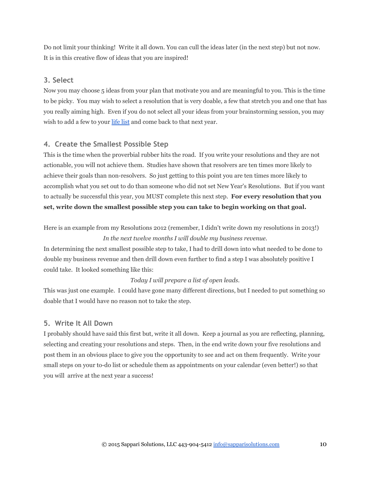Do not limit your thinking! Write it all down. You can cull the ideas later (in the next step) but not now. It is in this creative flow of ideas that you are inspired!

### **3. Select**

Now you may choose 5 ideas from your plan that motivate you and are meaningful to you. This is the time to be picky. You may wish to select a resolution that is very doable, a few that stretch you and one that has you really aiming high. Even if you do not select all your ideas from your brainstorming session, you may wish to add a few to your [life](http://chrisguillebeau.com/3x5/how-to-write-a-life-list/) list and come back to that next year.

# **4. Create the Smallest Possible Step**

This is the time when the proverbial rubber hits the road. If you write your resolutions and they are not actionable, you will not achieve them. Studies have shown that resolvers are ten times more likely to achieve their goals than non-resolvers. So just getting to this point you are ten times more likely to accomplish what you set out to do than someone who did not set New Year's Resolutions. But if you want to actually be successful this year, you MUST complete this next step. **For every resolution that you set, write down the smallest possible step you can take to begin working on that goal.**

Here is an example from my Resolutions 2012 (remember, I didn't write down my resolutions in 2013!) *In the next twelve months I will double my business revenue.*

In determining the next smallest possible step to take, I had to drill down into what needed to be done to double my business revenue and then drill down even further to find a step I was absolutely positive I could take. It looked something like this:

### *Today I will prepare a list of open leads.*

This was just one example. I could have gone many different directions, but I needed to put something so doable that I would have no reason not to take the step.

# **5. Write It All Down**

I probably should have said this first but, write it all down. Keep a journal as you are reflecting, planning, selecting and creating your resolutions and steps. Then, in the end write down your five resolutions and post them in an obvious place to give you the opportunity to see and act on them frequently. Write your small steps on your to-do list or schedule them as appointments on your calendar (even better!) so that you will arrive at the next year a success!